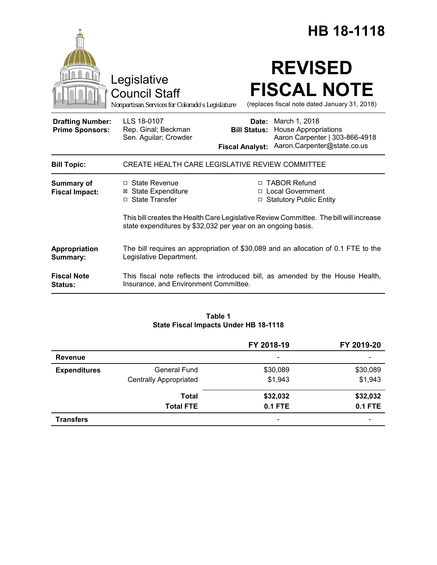|                                                   |                                                                                                                                                        | HB 18-1118                                    |                                                                                                                            |  |
|---------------------------------------------------|--------------------------------------------------------------------------------------------------------------------------------------------------------|-----------------------------------------------|----------------------------------------------------------------------------------------------------------------------------|--|
|                                                   | Legislative<br><b>Council Staff</b><br>Nonpartisan Services for Colorado's Legislature                                                                 |                                               | <b>REVISED</b><br><b>FISCAL NOTE</b><br>(replaces fiscal note dated January 31, 2018)                                      |  |
| <b>Drafting Number:</b><br><b>Prime Sponsors:</b> | LLS 18-0107<br>Rep. Ginal; Beckman<br>Sen. Aguilar; Crowder                                                                                            | <b>Bill Status:</b><br><b>Fiscal Analyst:</b> | <b>Date:</b> March 1, 2018<br><b>House Appropriations</b><br>Aaron Carpenter   303-866-4918<br>Aaron.Carpenter@state.co.us |  |
| <b>Bill Topic:</b>                                | CREATE HEALTH CARE LEGISLATIVE REVIEW COMMITTEE                                                                                                        |                                               |                                                                                                                            |  |
| <b>Summary of</b><br><b>Fiscal Impact:</b>        | □ State Revenue<br><b>⊠</b> State Expenditure<br>□ State Transfer                                                                                      |                                               | □ TABOR Refund<br>□ Local Government<br>□ Statutory Public Entity                                                          |  |
|                                                   | This bill creates the Health Care Legislative Review Committee. The bill will increase<br>state expenditures by \$32,032 per year on an ongoing basis. |                                               |                                                                                                                            |  |
| Appropriation<br>Summary:                         | The bill requires an appropriation of \$30,089 and an allocation of 0.1 FTE to the<br>Legislative Department.                                          |                                               |                                                                                                                            |  |
| <b>Fiscal Note</b><br><b>Status:</b>              | This fiscal note reflects the introduced bill, as amended by the House Health,<br>Insurance, and Environment Committee.                                |                                               |                                                                                                                            |  |

# **Table 1 State Fiscal Impacts Under HB 18-1118**

|                     |                               | FY 2018-19               | FY 2019-20               |
|---------------------|-------------------------------|--------------------------|--------------------------|
| <b>Revenue</b>      |                               | $\qquad \qquad$          | $\overline{\phantom{0}}$ |
| <b>Expenditures</b> | <b>General Fund</b>           | \$30,089                 | \$30,089                 |
|                     | <b>Centrally Appropriated</b> | \$1,943                  | \$1,943                  |
|                     | <b>Total</b>                  | \$32,032                 | \$32,032                 |
|                     | <b>Total FTE</b>              | <b>0.1 FTE</b>           | <b>0.1 FTE</b>           |
| <b>Transfers</b>    |                               | $\overline{\phantom{0}}$ | $\overline{\phantom{0}}$ |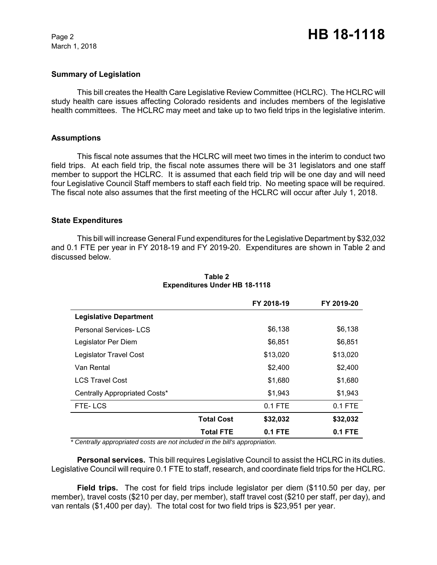March 1, 2018

### **Summary of Legislation**

This bill creates the Health Care Legislative Review Committee (HCLRC). The HCLRC will study health care issues affecting Colorado residents and includes members of the legislative health committees. The HCLRC may meet and take up to two field trips in the legislative interim.

#### **Assumptions**

This fiscal note assumes that the HCLRC will meet two times in the interim to conduct two field trips. At each field trip, the fiscal note assumes there will be 31 legislators and one staff member to support the HCLRC. It is assumed that each field trip will be one day and will need four Legislative Council Staff members to staff each field trip. No meeting space will be required. The fiscal note also assumes that the first meeting of the HCLRC will occur after July 1, 2018.

#### **State Expenditures**

This bill will increase General Fund expenditures for the Legislative Department by \$32,032 and 0.1 FTE per year in FY 2018-19 and FY 2019-20. Expenditures are shown in Table 2 and discussed below.

|                               |                   | FY 2018-19 | FY 2019-20 |
|-------------------------------|-------------------|------------|------------|
| <b>Legislative Department</b> |                   |            |            |
| <b>Personal Services-LCS</b>  |                   | \$6,138    | \$6,138    |
| Legislator Per Diem           |                   | \$6,851    | \$6,851    |
| Legislator Travel Cost        |                   | \$13,020   | \$13,020   |
| Van Rental                    |                   | \$2,400    | \$2,400    |
| <b>LCS Travel Cost</b>        |                   | \$1,680    | \$1,680    |
| Centrally Appropriated Costs* |                   | \$1,943    | \$1,943    |
| FTE-LCS                       |                   | $0.1$ FTE  | $0.1$ FTE  |
|                               | <b>Total Cost</b> | \$32,032   | \$32,032   |
|                               | Total FTE         | $0.1$ FTE  | 0.1 FTE    |

### **Table 2 Expenditures Under HB 18-1118**

*\* Centrally appropriated costs are not included in the bill's appropriation.*

**Personal services.** This bill requires Legislative Council to assist the HCLRC in its duties. Legislative Council will require 0.1 FTE to staff, research, and coordinate field trips for the HCLRC.

**Field trips.** The cost for field trips include legislator per diem (\$110.50 per day, per member), travel costs (\$210 per day, per member), staff travel cost (\$210 per staff, per day), and van rentals (\$1,400 per day). The total cost for two field trips is \$23,951 per year.